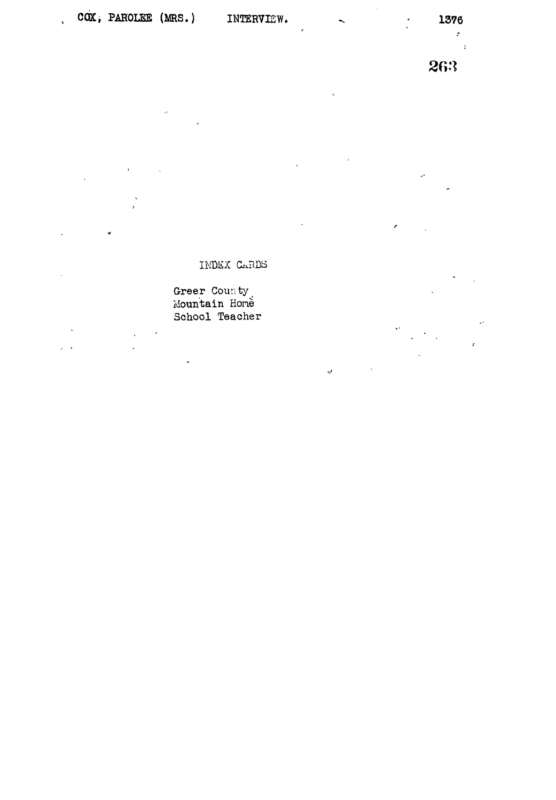$\ddot{\phi}$ 

 $\ddot{\phantom{0}}$ 

 $\bar{a}$ 

 $\overline{\phantom{a}}$ 

 $\sim$  $\mathcal{L}$ 

 $\ddot{\phantom{a}}$ 

 $\hat{\mathcal{J}}$ 

 $\mathcal{F}^{\mathcal{E}}$ 

 $\ddot{\cdot}$ 

263

## INDEX CARDS

## Greer County<br>Mountain Home

School Teacher  $\bar{z}$  $\bar{\epsilon}$ 

 $\mathbb{R}^2$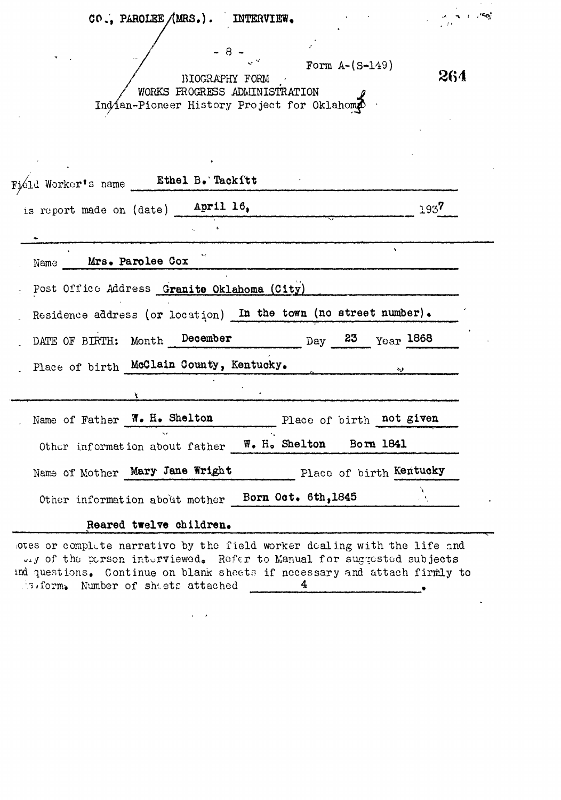| CO., PAROLEE $/MRS.$ ).<br>INTERVIEW.                                                                                           | $\frac{\partial \mathcal{L}_{\mathcal{A}}}{\partial \mathcal{L}_{\mathcal{A}}} = \frac{1}{2} \frac{\partial \mathcal{L}_{\mathcal{A}}}{\partial \mathcal{L}_{\mathcal{A}}}$ |
|---------------------------------------------------------------------------------------------------------------------------------|-----------------------------------------------------------------------------------------------------------------------------------------------------------------------------|
| $-8-$<br>Form $A - (S - 149)$<br>BIOGRAPHY FORM<br>WORKS PROGRESS ADMINISTRATION<br>Indian-Pioneer History Project for Oklahomp | 264                                                                                                                                                                         |
| Field Worker's name Ethel B. Tackitt                                                                                            |                                                                                                                                                                             |
| is report made on (date) April 16,                                                                                              | 1937                                                                                                                                                                        |
|                                                                                                                                 |                                                                                                                                                                             |
| Mrs. Parolee Cox<br>Name                                                                                                        |                                                                                                                                                                             |
| Post Office Address Granite Oklahoma (City)                                                                                     |                                                                                                                                                                             |
| Residence address (or location) In the town (no street number).                                                                 |                                                                                                                                                                             |
| DATE OF BIRTH: Month December<br>$p_{\text{day}}$ 23 $p_{\text{car}}$ 1868                                                      |                                                                                                                                                                             |
| Place of birth McClain County, Kentucky.                                                                                        |                                                                                                                                                                             |
|                                                                                                                                 |                                                                                                                                                                             |
| Name of Father W. H. Shelton<br>Place of birth not given                                                                        |                                                                                                                                                                             |
| Other information about father W. H. Shelton Born 1841                                                                          |                                                                                                                                                                             |
| Name of Mother Mary Jane Wright<br>Place of birth Kentucky                                                                      |                                                                                                                                                                             |
| Other information about mother Born Oct. 6th, 1845                                                                              |                                                                                                                                                                             |
| Reared twelve children.                                                                                                         |                                                                                                                                                                             |

otes or complete narrative by the field worker dealing with the life and expects that the complete interviewed. Refer to Manual for suggested subjects<br>and questions. Continue on blank sheets if necessary and attach firmly to S.form. Number of sheets attached 1  $\bullet$ 

 $\epsilon = \infty$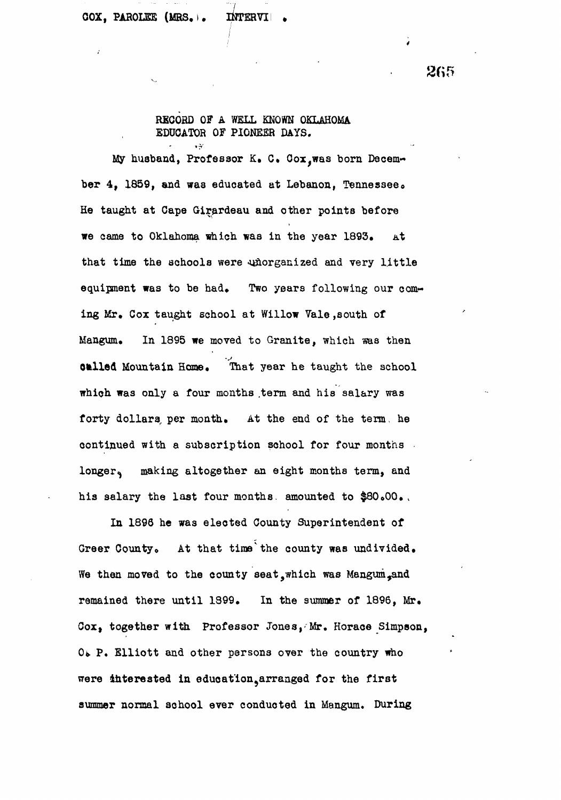265

## RECORD OF A WELL KNOWN OKLAHOMA EDUCATOR OF PIONEER DAYS.

My husband, Professor K. C. Cox. was born December 4, 1859, and was educated at Lebanon, Tennessee. He taught at Cape Girardeau and other points before we came to Oklahoma which was in the year 1893. At that time the schools were unorganized and very little equipment was to be had. Two years following our coming Mr, Cox taught school at Willow Vale,south of Mangum. In 1895 we moved to Granite, which was then onlied Mountain Home. That year he taught the school which was only a four months .term and his salary was forty dollars, per month. At the end of the term, he continued with a subscription school for four months longer, making altogether an eight months term, and his salary the last four months, amounted to \$80.00.

In 1898 he was elected County Superintendent of Greer County. At that time the county was undivided. We then moved to the county seat, which was Mangum, and remained there until 1899. In the summer of 1896, Mr. Cox, together with Professor Jones,- Mr. Horace Simpson, O. P. Elliott and other persons over the country who were interested in education, arranged for the first summer normal school ever conducted in Mangum. During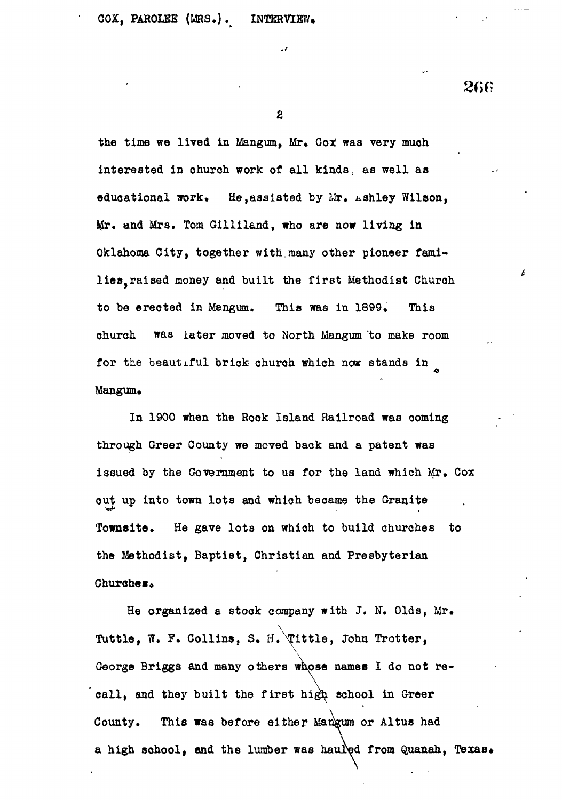266

the time we lived in Mangum, Mr. Got was very muoh interested in church work of all kinds, aa well aa educational work. He, assisted by  $\lim_{n\to\infty}$  wilson, Mr. and Mrs. Tom Gilliland, who are now living in Oklahoma City, together with.many other pioneer families, raised money and built the first Methodist Church to be erected in Mengum. This was in 1899. This church was later moved to North Mangum to make room for the beautiful brick church which now stands in Mangum.

In 1900 when the Rook Island Railroad was coming through Greer County we moved back and a patent was issued by the Government to us for the land which Mr, Cox out up into town lots and which became the Granite Towneite. He gave lots on which to build churches to the Methodist, Baptist, Christian and Presbyterian Churches.

He organized a stock company with J. N. Olds, Mr. Tuttle, W. F. Collins, S. H. Tittle, John Trotter, George Briggs and many others whose names I do not recall, and they built the first high school in Greer County. This was before either Mangum or Altus had a high school, and the lumber was hauled from Quanah, Texas.